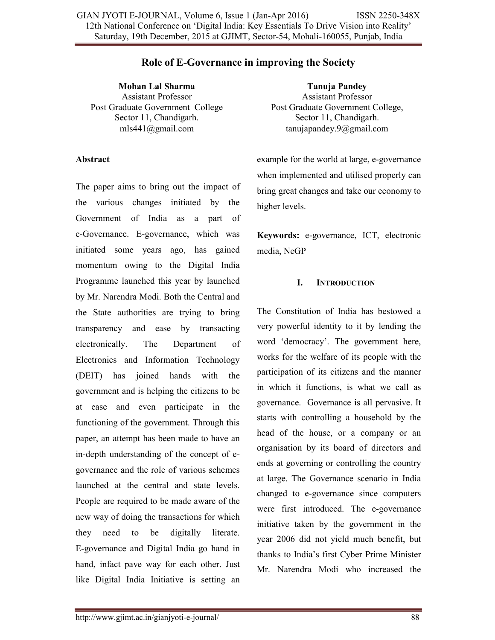## **Role of E-Governance in improving the Society**

**Mohan Lal Sharma**  Assistant Professor Post Graduate Government College Sector 11, Chandigarh. mls441@gmail.com

#### **Abstract**

The paper aims to bring out the impact of the various changes initiated by the Government of India as a part of e-Governance. E-governance, which was initiated some years ago, has gained momentum owing to the Digital India Programme launched this year by launched by Mr. Narendra Modi. Both the Central and the State authorities are trying to bring transparency and ease by transacting electronically. The Department of Electronics and Information Technology (DEIT) has joined hands with the government and is helping the citizens to be at ease and even participate in the functioning of the government. Through this paper, an attempt has been made to have an in-depth understanding of the concept of egovernance and the role of various schemes launched at the central and state levels. People are required to be made aware of the new way of doing the transactions for which they need to be digitally literate. E-governance and Digital India go hand in hand, infact pave way for each other. Just like Digital India Initiative is setting an

**Tanuja Pandey**  Assistant Professor Post Graduate Government College, Sector 11, Chandigarh. tanujapandey.9@gmail.com

example for the world at large, e-governance when implemented and utilised properly can bring great changes and take our economy to higher levels.

**Keywords:** e-governance, ICT, electronic media, NeGP

### **I. INTRODUCTION**

The Constitution of India has bestowed a very powerful identity to it by lending the word 'democracy'. The government here, works for the welfare of its people with the participation of its citizens and the manner in which it functions, is what we call as governance. Governance is all pervasive. It starts with controlling a household by the head of the house, or a company or an organisation by its board of directors and ends at governing or controlling the country at large. The Governance scenario in India changed to e-governance since computers were first introduced. The e-governance initiative taken by the government in the year 2006 did not yield much benefit, but thanks to India's first Cyber Prime Minister Mr. Narendra Modi who increased the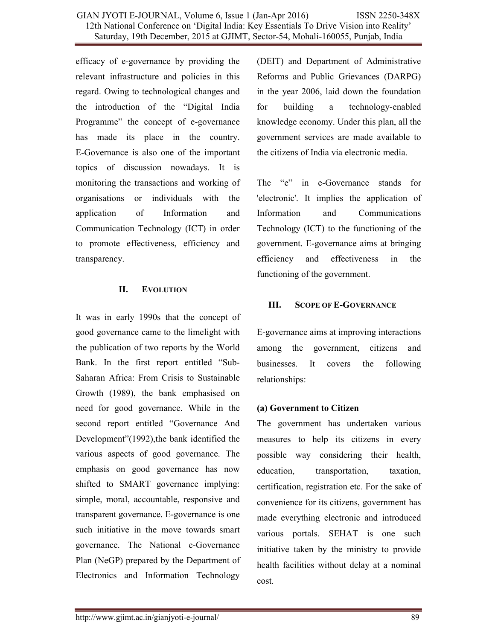efficacy of e-governance by providing the relevant infrastructure and policies in this regard. Owing to technological changes and the introduction of the "Digital India Programme" the concept of e-governance has made its place in the country. E-Governance is also one of the important topics of discussion nowadays. It is monitoring the transactions and working of organisations or individuals with the application of Information and Communication Technology (ICT) in order to promote effectiveness, efficiency and transparency.

### **II. EVOLUTION**

It was in early 1990s that the concept of good governance came to the limelight with the publication of two reports by the World Bank. In the first report entitled "Sub-Saharan Africa: From Crisis to Sustainable Growth (1989), the bank emphasised on need for good governance. While in the second report entitled "Governance And Development"(1992),the bank identified the various aspects of good governance. The emphasis on good governance has now shifted to SMART governance implying: simple, moral, accountable, responsive and transparent governance. E-governance is one such initiative in the move towards smart governance. The National e-Governance Plan (NeGP) prepared by the Department of Electronics and Information Technology

(DEIT) and Department of Administrative Reforms and Public Grievances (DARPG) in the year 2006, laid down the foundation for building a technology-enabled knowledge economy. Under this plan, all the government services are made available to the citizens of India via electronic media.

The "e" in e-Governance stands for 'electronic'. It implies the application of Information and Communications Technology (ICT) to the functioning of the government. E-governance aims at bringing efficiency and effectiveness in the functioning of the government.

## **III. SCOPE OF E-GOVERNANCE**

E-governance aims at improving interactions among the government, citizens and businesses. It covers the following relationships:

# **(a) Government to Citizen**

The government has undertaken various measures to help its citizens in every possible way considering their health, education, transportation, taxation, certification, registration etc. For the sake of convenience for its citizens, government has made everything electronic and introduced various portals. SEHAT is one such initiative taken by the ministry to provide health facilities without delay at a nominal cost.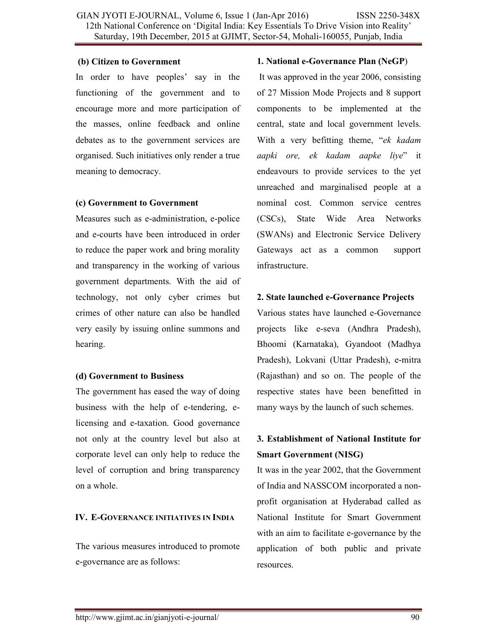### **(b) Citizen to Government**

In order to have peoples' say in the functioning of the government and to encourage more and more participation of the masses, online feedback and online debates as to the government services are organised. Such initiatives only render a true meaning to democracy.

### **(c) Government to Government**

Measures such as e-administration, e-police and e-courts have been introduced in order to reduce the paper work and bring morality and transparency in the working of various government departments. With the aid of technology, not only cyber crimes but crimes of other nature can also be handled very easily by issuing online summons and hearing.

### **(d) Government to Business**

The government has eased the way of doing business with the help of e-tendering, elicensing and e-taxation. Good governance not only at the country level but also at corporate level can only help to reduce the level of corruption and bring transparency on a whole.

## **IV. E-GOVERNANCE INITIATIVES IN INDIA**

The various measures introduced to promote e-governance are as follows:

### **1. National e-Governance Plan (NeGP**)

 It was approved in the year 2006, consisting of 27 Mission Mode Projects and 8 support components to be implemented at the central, state and local government levels. With a very befitting theme, "*ek kadam aapki ore, ek kadam aapke liye*" it endeavours to provide services to the yet unreached and marginalised people at a nominal cost. Common service centres (CSCs), State Wide Area Networks (SWANs) and Electronic Service Delivery Gateways act as a common support infrastructure.

## **2. State launched e-Governance Projects**

Various states have launched e-Governance projects like e-seva (Andhra Pradesh), Bhoomi (Karnataka), Gyandoot (Madhya Pradesh), Lokvani (Uttar Pradesh), e-mitra (Rajasthan) and so on. The people of the respective states have been benefitted in many ways by the launch of such schemes.

# **3. Establishment of National Institute for Smart Government (NISG)**

It was in the year 2002, that the Government of India and NASSCOM incorporated a nonprofit organisation at Hyderabad called as National Institute for Smart Government with an aim to facilitate e-governance by the application of both public and private resources.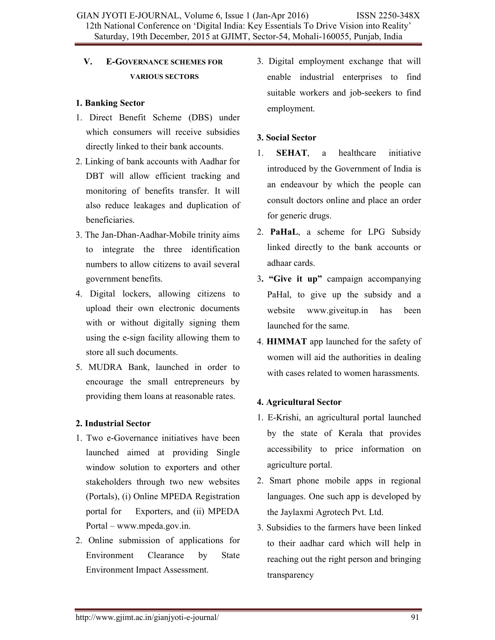# **V. E-GOVERNANCE SCHEMES FOR VARIOUS SECTORS**

## **1. Banking Sector**

- 1. Direct Benefit Scheme (DBS) under which consumers will receive subsidies directly linked to their bank accounts.
- 2. Linking of bank accounts with Aadhar for DBT will allow efficient tracking and monitoring of benefits transfer. It will also reduce leakages and duplication of beneficiaries.
- 3. The Jan-Dhan-Aadhar-Mobile trinity aims to integrate the three identification numbers to allow citizens to avail several government benefits.
- 4. Digital lockers, allowing citizens to upload their own electronic documents with or without digitally signing them using the e-sign facility allowing them to store all such documents.
- 5. MUDRA Bank, launched in order to encourage the small entrepreneurs by providing them loans at reasonable rates.

# **2. Industrial Sector**

- 1. Two e-Governance initiatives have been launched aimed at providing Single window solution to exporters and other stakeholders through two new websites (Portals), (i) Online MPEDA Registration portal for Exporters, and (ii) MPEDA Portal – www.mpeda.gov.in.
- 2. Online submission of applications for Environment Clearance by State Environment Impact Assessment.

3. Digital employment exchange that will enable industrial enterprises to find suitable workers and job-seekers to find employment.

# **3. Social Sector**

- 1. **SEHAT**, a healthcare initiative introduced by the Government of India is an endeavour by which the people can consult doctors online and place an order for generic drugs.
- 2. **PaHaL**, a scheme for LPG Subsidy linked directly to the bank accounts or adhaar cards.
- 3**. "Give it up"** campaign accompanying PaHal, to give up the subsidy and a website www.giveitup.in has been launched for the same.
- 4. **HIMMAT** app launched for the safety of women will aid the authorities in dealing with cases related to women harassments.

# **4. Agricultural Sector**

- 1. E-Krishi, an agricultural portal launched by the state of Kerala that provides accessibility to price information on agriculture portal.
- 2. Smart phone mobile apps in regional languages. One such app is developed by the Jaylaxmi Agrotech Pvt. Ltd.
- 3. Subsidies to the farmers have been linked to their aadhar card which will help in reaching out the right person and bringing transparency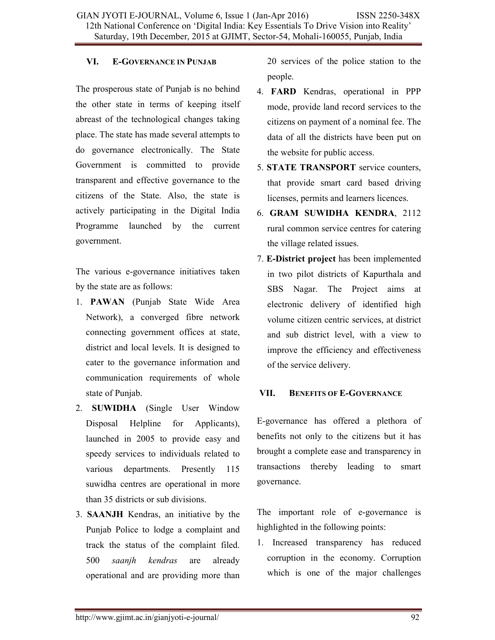### **VI. E-GOVERNANCE IN PUNJAB**

The prosperous state of Punjab is no behind the other state in terms of keeping itself abreast of the technological changes taking place. The state has made several attempts to do governance electronically. The State Government is committed to provide transparent and effective governance to the citizens of the State. Also, the state is actively participating in the Digital India Programme launched by the current government.

The various e-governance initiatives taken by the state are as follows:

- 1. **PAWAN** (Punjab State Wide Area Network), a converged fibre network connecting government offices at state, district and local levels. It is designed to cater to the governance information and communication requirements of whole state of Punjab.
- 2. **SUWIDHA** (Single User Window Disposal Helpline for Applicants), launched in 2005 to provide easy and speedy services to individuals related to various departments. Presently 115 suwidha centres are operational in more than 35 districts or sub divisions.
- 3. **SAANJH** Kendras, an initiative by the Punjab Police to lodge a complaint and track the status of the complaint filed. 500 *saanjh kendras* are already operational and are providing more than

20 services of the police station to the people.

- 4. **FARD** Kendras, operational in PPP mode, provide land record services to the citizens on payment of a nominal fee. The data of all the districts have been put on the website for public access.
- 5. **STATE TRANSPORT** service counters, that provide smart card based driving licenses, permits and learners licences.
- 6. **GRAM SUWIDHA KENDRA**, 2112 rural common service centres for catering the village related issues.
- 7. **E-District project** has been implemented in two pilot districts of Kapurthala and SBS Nagar. The Project aims at electronic delivery of identified high volume citizen centric services, at district and sub district level, with a view to improve the efficiency and effectiveness of the service delivery.

## **VII. BENEFITS OF E-GOVERNANCE**

E-governance has offered a plethora of benefits not only to the citizens but it has brought a complete ease and transparency in transactions thereby leading to smart governance.

The important role of e-governance is highlighted in the following points:

1. Increased transparency has reduced corruption in the economy. Corruption which is one of the major challenges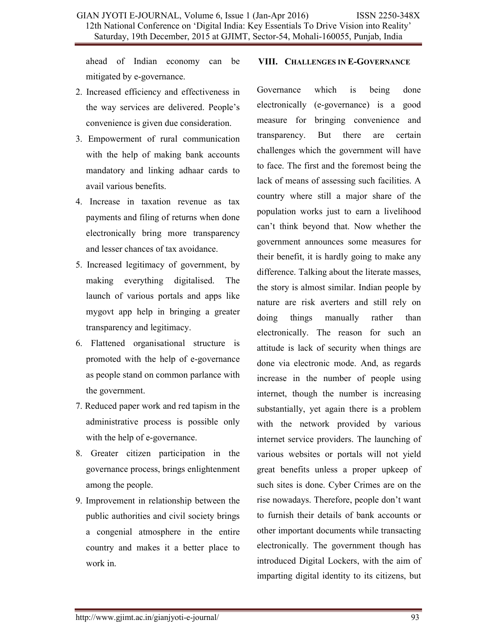ahead of Indian economy can be mitigated by e-governance.

- 2. Increased efficiency and effectiveness in the way services are delivered. People's convenience is given due consideration.
- 3. Empowerment of rural communication with the help of making bank accounts mandatory and linking adhaar cards to avail various benefits.
- 4. Increase in taxation revenue as tax payments and filing of returns when done electronically bring more transparency and lesser chances of tax avoidance.
- 5. Increased legitimacy of government, by making everything digitalised. The launch of various portals and apps like mygovt app help in bringing a greater transparency and legitimacy.
- 6. Flattened organisational structure is promoted with the help of e-governance as people stand on common parlance with the government.
- 7. Reduced paper work and red tapism in the administrative process is possible only with the help of e-governance.
- 8. Greater citizen participation in the governance process, brings enlightenment among the people.
- 9. Improvement in relationship between the public authorities and civil society brings a congenial atmosphere in the entire country and makes it a better place to work in.

### **VIII. CHALLENGES IN E-GOVERNANCE**

Governance which is being done electronically (e-governance) is a good measure for bringing convenience and transparency. But there are certain challenges which the government will have to face. The first and the foremost being the lack of means of assessing such facilities. A country where still a major share of the population works just to earn a livelihood can't think beyond that. Now whether the government announces some measures for their benefit, it is hardly going to make any difference. Talking about the literate masses, the story is almost similar. Indian people by nature are risk averters and still rely on doing things manually rather than electronically. The reason for such an attitude is lack of security when things are done via electronic mode. And, as regards increase in the number of people using internet, though the number is increasing substantially, yet again there is a problem with the network provided by various internet service providers. The launching of various websites or portals will not yield great benefits unless a proper upkeep of such sites is done. Cyber Crimes are on the rise nowadays. Therefore, people don't want to furnish their details of bank accounts or other important documents while transacting electronically. The government though has introduced Digital Lockers, with the aim of imparting digital identity to its citizens, but